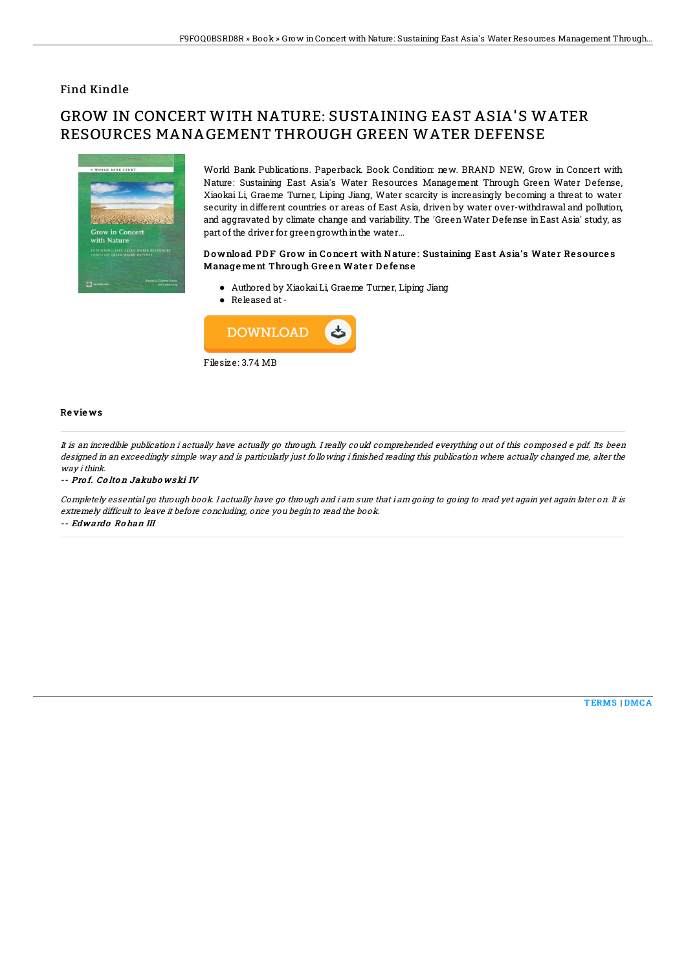### Find Kindle

# GROW IN CONCERT WITH NATURE: SUSTAINING EAST ASIA'S WATER RESOURCES MANAGEMENT THROUGH GREEN WATER DEFENSE



World Bank Publications. Paperback. Book Condition: new. BRAND NEW, Grow in Concert with Nature: Sustaining East Asia's Water Resources Management Through Green Water Defense, Xiaokai Li, Graeme Turner, Liping Jiang, Water scarcity is increasingly becoming a threat to water security in different countries or areas of East Asia, driven by water over-withdrawal and pollution, and aggravated by climate change and variability. The 'GreenWater Defense in East Asia' study, as part of the driver for green growth in the water...

#### Download PDF Grow in Concert with Nature: Sustaining East Asia's Water Resources Manage ment Through Green Water Defense

- Authored by XiaokaiLi, Graeme Turner, Liping Jiang
- Released at-



#### Re vie ws

It is an incredible publication i actually have actually go through. I really could comprehended everything out of this composed <sup>e</sup> pdf. Its been designed in an exceedingly simple way and is particularly just following i finished reading this publication where actually changed me, alter the way ithink.

-- Prof. Colton Jakubowski IV

Completely essential go through book. I actually have go through and i am sure that i am going to going to read yet again yet again later on. It is extremely difficult to leave it before concluding, once you begin to read the book.

-- Edwardo Ro han III